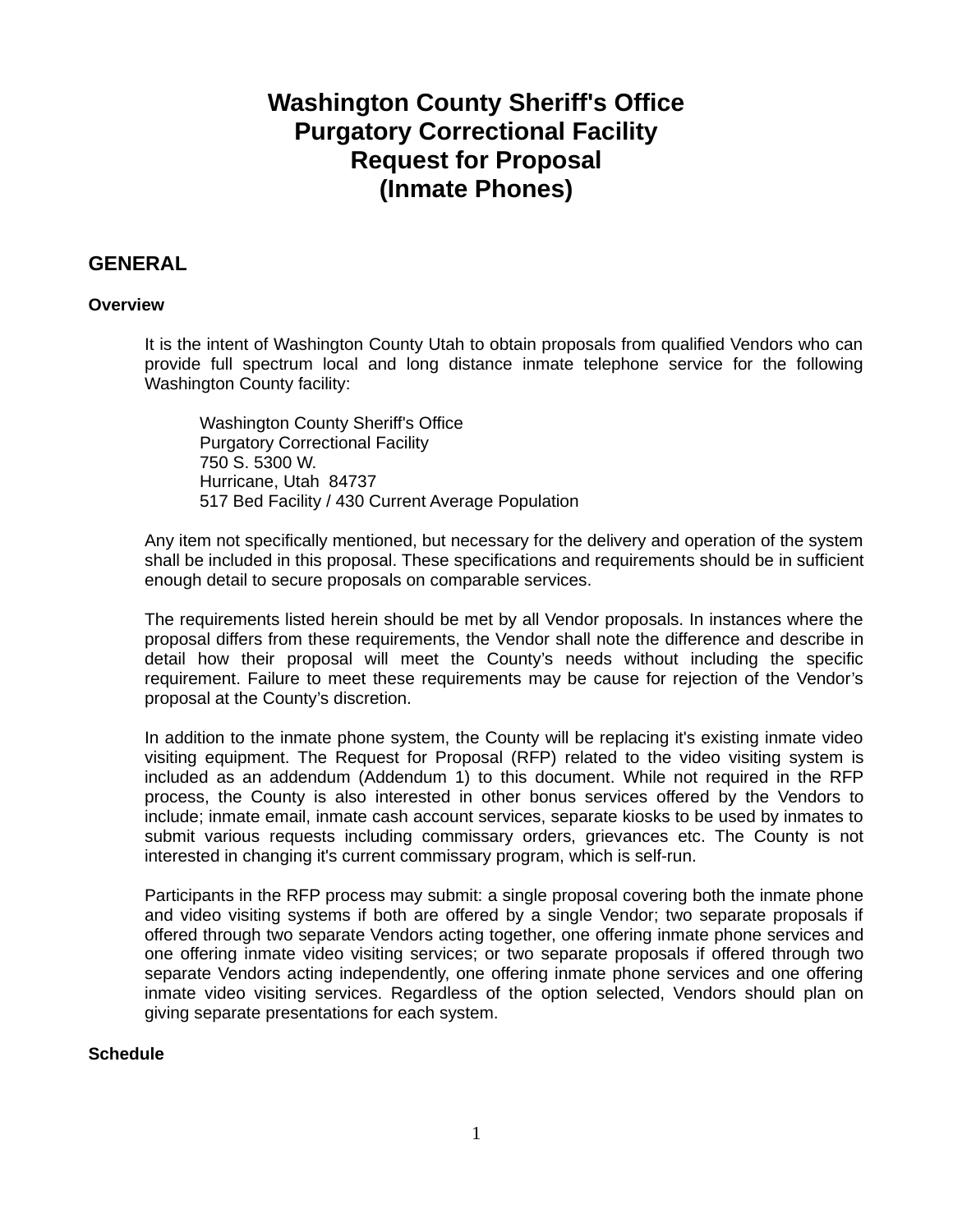# **Washington County Sheriff's Office Purgatory Correctional Facility Request for Proposal (Inmate Phones)**

# **GENERAL**

# **Overview**

It is the intent of Washington County Utah to obtain proposals from qualified Vendors who can provide full spectrum local and long distance inmate telephone service for the following Washington County facility:

Washington County Sheriff's Office Purgatory Correctional Facility 750 S. 5300 W. Hurricane, Utah 84737 517 Bed Facility / 430 Current Average Population

Any item not specifically mentioned, but necessary for the delivery and operation of the system shall be included in this proposal. These specifications and requirements should be in sufficient enough detail to secure proposals on comparable services.

The requirements listed herein should be met by all Vendor proposals. In instances where the proposal differs from these requirements, the Vendor shall note the difference and describe in detail how their proposal will meet the County's needs without including the specific requirement. Failure to meet these requirements may be cause for rejection of the Vendor's proposal at the County's discretion.

In addition to the inmate phone system, the County will be replacing it's existing inmate video visiting equipment. The Request for Proposal (RFP) related to the video visiting system is included as an addendum (Addendum 1) to this document. While not required in the RFP process, the County is also interested in other bonus services offered by the Vendors to include; inmate email, inmate cash account services, separate kiosks to be used by inmates to submit various requests including commissary orders, grievances etc. The County is not interested in changing it's current commissary program, which is self-run.

Participants in the RFP process may submit: a single proposal covering both the inmate phone and video visiting systems if both are offered by a single Vendor; two separate proposals if offered through two separate Vendors acting together, one offering inmate phone services and one offering inmate video visiting services; or two separate proposals if offered through two separate Vendors acting independently, one offering inmate phone services and one offering inmate video visiting services. Regardless of the option selected, Vendors should plan on giving separate presentations for each system.

# **Schedule**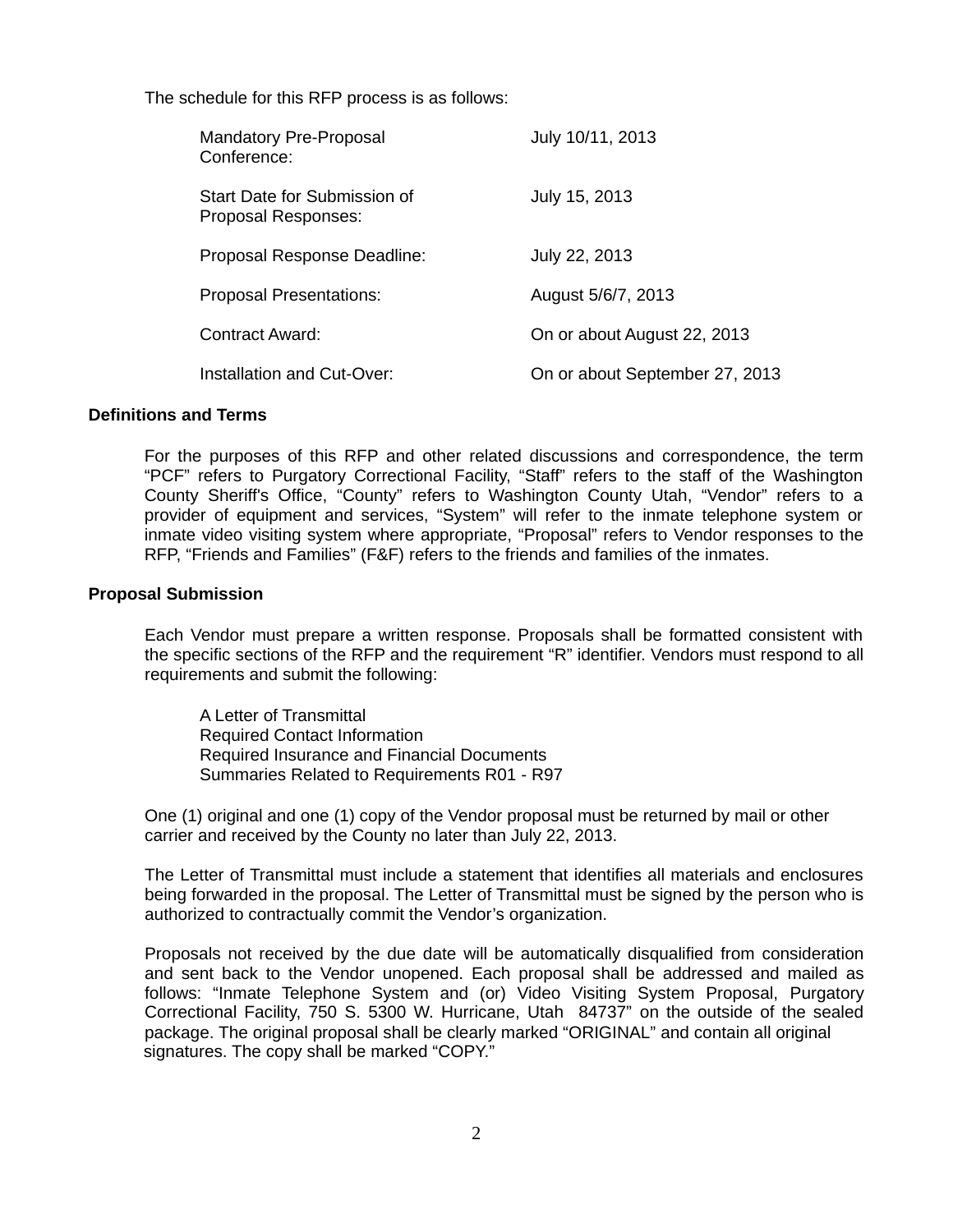The schedule for this RFP process is as follows:

| <b>Mandatory Pre-Proposal</b><br>Conference:        | July 10/11, 2013               |
|-----------------------------------------------------|--------------------------------|
| Start Date for Submission of<br>Proposal Responses: | July 15, 2013                  |
| Proposal Response Deadline:                         | July 22, 2013                  |
| <b>Proposal Presentations:</b>                      | August 5/6/7, 2013             |
| Contract Award:                                     | On or about August 22, 2013    |
| Installation and Cut-Over:                          | On or about September 27, 2013 |

# **Definitions and Terms**

For the purposes of this RFP and other related discussions and correspondence, the term "PCF" refers to Purgatory Correctional Facility, "Staff" refers to the staff of the Washington County Sheriff's Office, "County" refers to Washington County Utah, "Vendor" refers to a provider of equipment and services, "System" will refer to the inmate telephone system or inmate video visiting system where appropriate, "Proposal" refers to Vendor responses to the RFP, "Friends and Families" (F&F) refers to the friends and families of the inmates.

#### **Proposal Submission**

Each Vendor must prepare a written response. Proposals shall be formatted consistent with the specific sections of the RFP and the requirement "R" identifier. Vendors must respond to all requirements and submit the following:

A Letter of Transmittal Required Contact Information Required Insurance and Financial Documents Summaries Related to Requirements R01 - R97

One (1) original and one (1) copy of the Vendor proposal must be returned by mail or other carrier and received by the County no later than July 22, 2013.

The Letter of Transmittal must include a statement that identifies all materials and enclosures being forwarded in the proposal. The Letter of Transmittal must be signed by the person who is authorized to contractually commit the Vendor's organization.

Proposals not received by the due date will be automatically disqualified from consideration and sent back to the Vendor unopened. Each proposal shall be addressed and mailed as follows: "Inmate Telephone System and (or) Video Visiting System Proposal, Purgatory Correctional Facility, 750 S. 5300 W. Hurricane, Utah 84737" on the outside of the sealed package. The original proposal shall be clearly marked "ORIGINAL" and contain all original signatures. The copy shall be marked "COPY."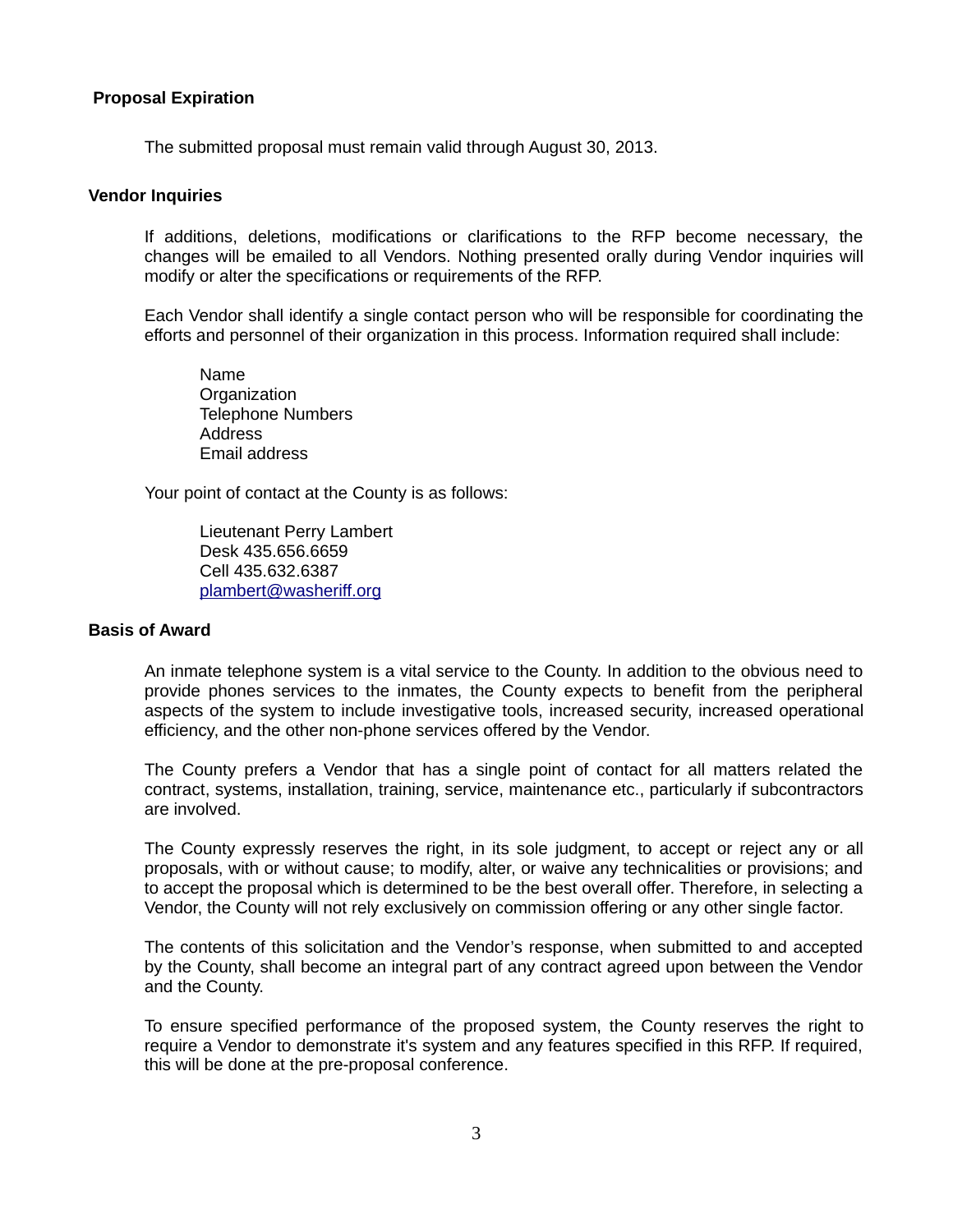# **Proposal Expiration**

The submitted proposal must remain valid through August 30, 2013.

#### **Vendor Inquiries**

If additions, deletions, modifications or clarifications to the RFP become necessary, the changes will be emailed to all Vendors. Nothing presented orally during Vendor inquiries will modify or alter the specifications or requirements of the RFP.

Each Vendor shall identify a single contact person who will be responsible for coordinating the efforts and personnel of their organization in this process. Information required shall include:

Name **Organization** Telephone Numbers Address Email address

Your point of contact at the County is as follows:

Lieutenant Perry Lambert Desk 435.656.6659 Cell 435.632.6387 [plambert@washeriff.org](mailto:plambert@washeriff.org)

#### **Basis of Award**

An inmate telephone system is a vital service to the County. In addition to the obvious need to provide phones services to the inmates, the County expects to benefit from the peripheral aspects of the system to include investigative tools, increased security, increased operational efficiency, and the other non-phone services offered by the Vendor.

The County prefers a Vendor that has a single point of contact for all matters related the contract, systems, installation, training, service, maintenance etc., particularly if subcontractors are involved.

The County expressly reserves the right, in its sole judgment, to accept or reject any or all proposals, with or without cause; to modify, alter, or waive any technicalities or provisions; and to accept the proposal which is determined to be the best overall offer. Therefore, in selecting a Vendor, the County will not rely exclusively on commission offering or any other single factor.

The contents of this solicitation and the Vendor's response, when submitted to and accepted by the County, shall become an integral part of any contract agreed upon between the Vendor and the County.

To ensure specified performance of the proposed system, the County reserves the right to require a Vendor to demonstrate it's system and any features specified in this RFP. If required, this will be done at the pre-proposal conference.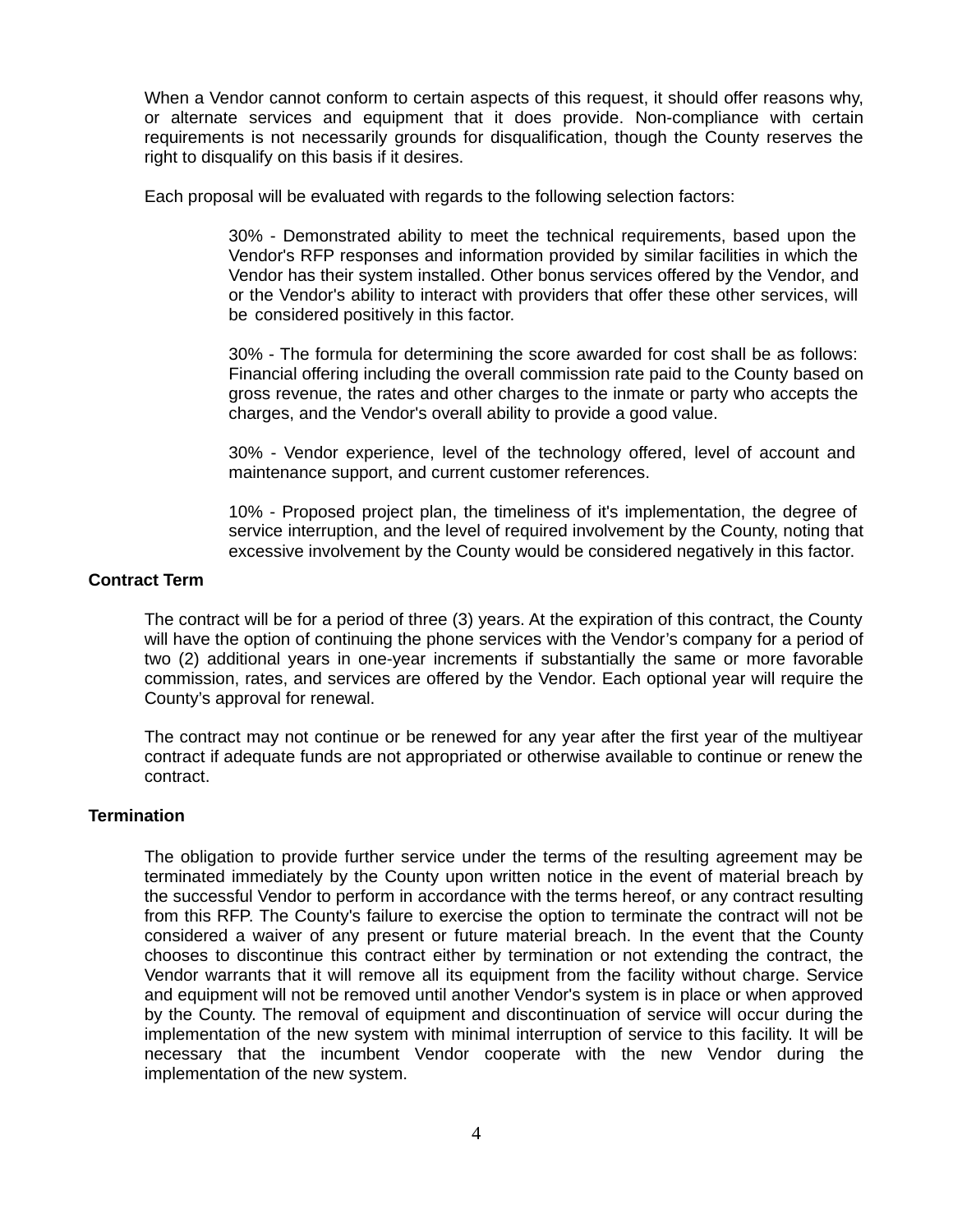When a Vendor cannot conform to certain aspects of this request, it should offer reasons why, or alternate services and equipment that it does provide. Non-compliance with certain requirements is not necessarily grounds for disqualification, though the County reserves the right to disqualify on this basis if it desires.

Each proposal will be evaluated with regards to the following selection factors:

30% - Demonstrated ability to meet the technical requirements, based upon the Vendor's RFP responses and information provided by similar facilities in which the Vendor has their system installed. Other bonus services offered by the Vendor, and or the Vendor's ability to interact with providers that offer these other services, will be considered positively in this factor.

30% - The formula for determining the score awarded for cost shall be as follows: Financial offering including the overall commission rate paid to the County based on gross revenue, the rates and other charges to the inmate or party who accepts the charges, and the Vendor's overall ability to provide a good value.

30% - Vendor experience, level of the technology offered, level of account and maintenance support, and current customer references.

10% - Proposed project plan, the timeliness of it's implementation, the degree of service interruption, and the level of required involvement by the County, noting that excessive involvement by the County would be considered negatively in this factor.

#### **Contract Term**

The contract will be for a period of three (3) years. At the expiration of this contract, the County will have the option of continuing the phone services with the Vendor's company for a period of two (2) additional years in one-year increments if substantially the same or more favorable commission, rates, and services are offered by the Vendor. Each optional year will require the County's approval for renewal.

The contract may not continue or be renewed for any year after the first year of the multiyear contract if adequate funds are not appropriated or otherwise available to continue or renew the contract.

#### **Termination**

The obligation to provide further service under the terms of the resulting agreement may be terminated immediately by the County upon written notice in the event of material breach by the successful Vendor to perform in accordance with the terms hereof, or any contract resulting from this RFP. The County's failure to exercise the option to terminate the contract will not be considered a waiver of any present or future material breach. In the event that the County chooses to discontinue this contract either by termination or not extending the contract, the Vendor warrants that it will remove all its equipment from the facility without charge. Service and equipment will not be removed until another Vendor's system is in place or when approved by the County. The removal of equipment and discontinuation of service will occur during the implementation of the new system with minimal interruption of service to this facility. It will be necessary that the incumbent Vendor cooperate with the new Vendor during the implementation of the new system.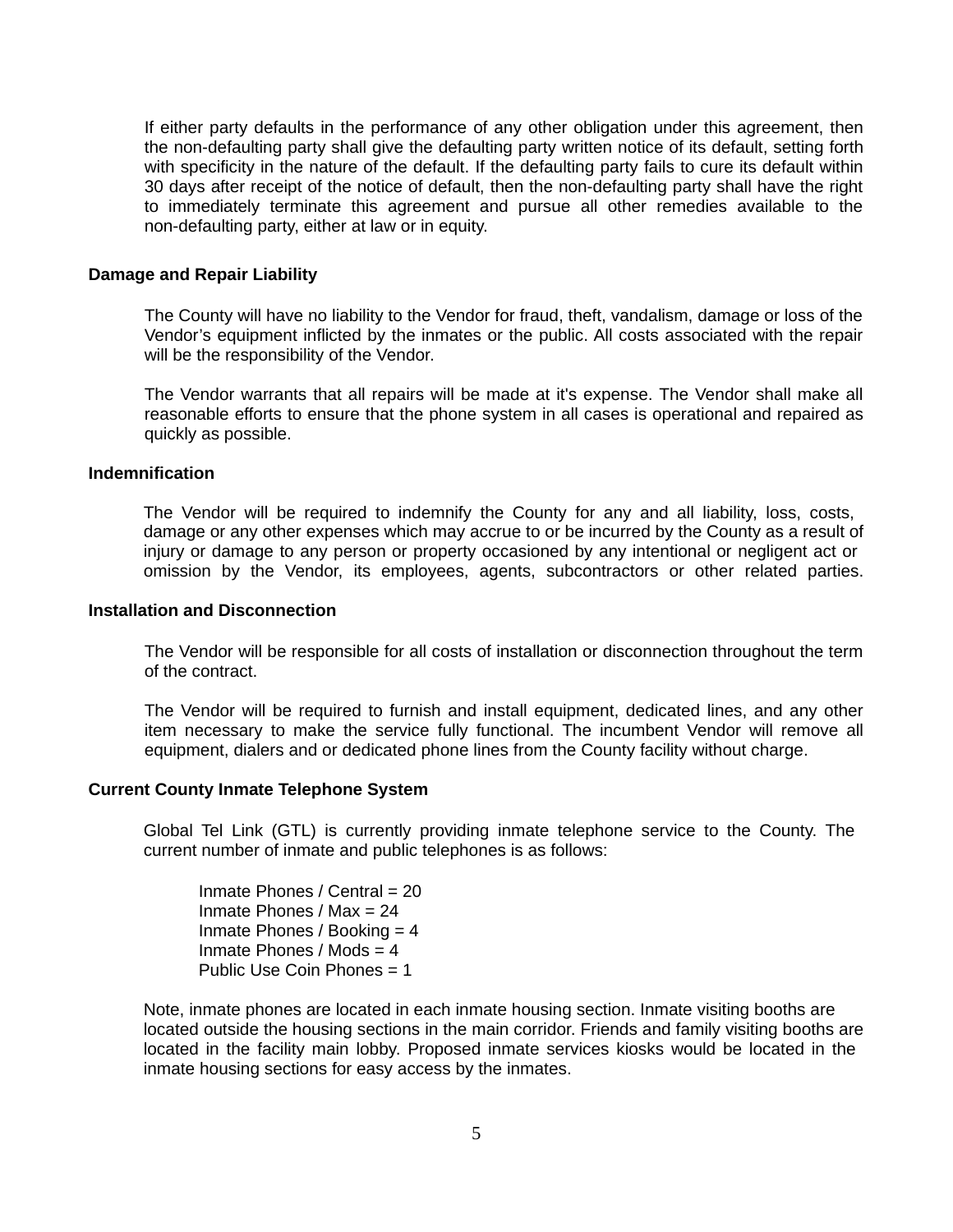If either party defaults in the performance of any other obligation under this agreement, then the non-defaulting party shall give the defaulting party written notice of its default, setting forth with specificity in the nature of the default. If the defaulting party fails to cure its default within 30 days after receipt of the notice of default, then the non-defaulting party shall have the right to immediately terminate this agreement and pursue all other remedies available to the non-defaulting party, either at law or in equity.

#### **Damage and Repair Liability**

The County will have no liability to the Vendor for fraud, theft, vandalism, damage or loss of the Vendor's equipment inflicted by the inmates or the public. All costs associated with the repair will be the responsibility of the Vendor.

The Vendor warrants that all repairs will be made at it's expense. The Vendor shall make all reasonable efforts to ensure that the phone system in all cases is operational and repaired as quickly as possible.

#### **Indemnification**

The Vendor will be required to indemnify the County for any and all liability, loss, costs, damage or any other expenses which may accrue to or be incurred by the County as a result of injury or damage to any person or property occasioned by any intentional or negligent act or omission by the Vendor, its employees, agents, subcontractors or other related parties.

#### **Installation and Disconnection**

The Vendor will be responsible for all costs of installation or disconnection throughout the term of the contract.

The Vendor will be required to furnish and install equipment, dedicated lines, and any other item necessary to make the service fully functional. The incumbent Vendor will remove all equipment, dialers and or dedicated phone lines from the County facility without charge.

### **Current County Inmate Telephone System**

Global Tel Link (GTL) is currently providing inmate telephone service to the County. The current number of inmate and public telephones is as follows:

Inmate Phones / Central = 20 Inmate Phones / Max = 24 Inmate Phones / Booking  $=$  4 Inmate Phones / Mods = 4 Public Use Coin Phones = 1

Note, inmate phones are located in each inmate housing section. Inmate visiting booths are located outside the housing sections in the main corridor. Friends and family visiting booths are located in the facility main lobby. Proposed inmate services kiosks would be located in the inmate housing sections for easy access by the inmates.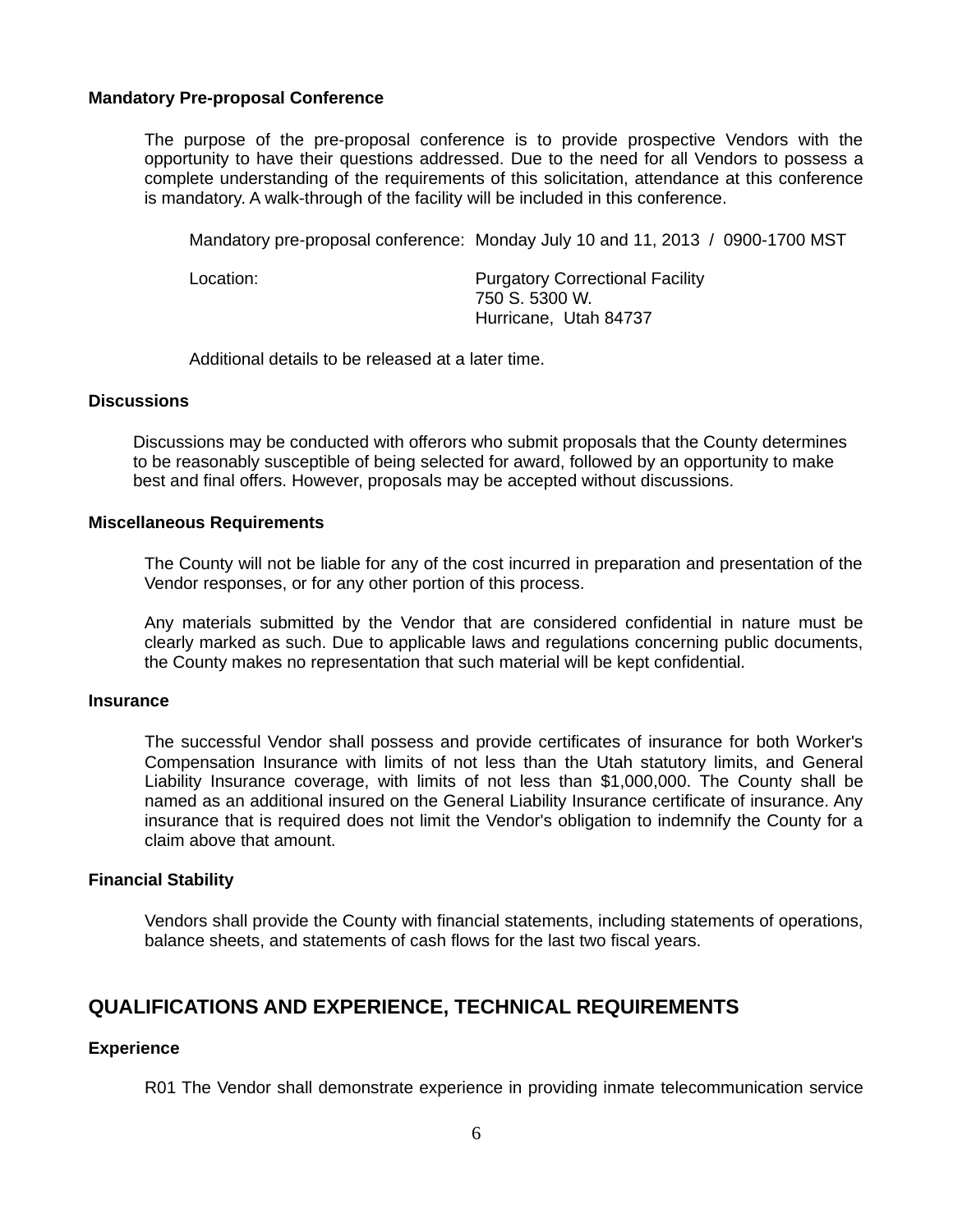#### **Mandatory Pre-proposal Conference**

The purpose of the pre-proposal conference is to provide prospective Vendors with the opportunity to have their questions addressed. Due to the need for all Vendors to possess a complete understanding of the requirements of this solicitation, attendance at this conference is mandatory. A walk-through of the facility will be included in this conference.

Mandatory pre-proposal conference: Monday July 10 and 11, 2013 / 0900-1700 MST

Location: Purgatory Correctional Facility 750 S. 5300 W. Hurricane, Utah 84737

Additional details to be released at a later time.

#### **Discussions**

Discussions may be conducted with offerors who submit proposals that the County determines to be reasonably susceptible of being selected for award, followed by an opportunity to make best and final offers. However, proposals may be accepted without discussions.

#### **Miscellaneous Requirements**

The County will not be liable for any of the cost incurred in preparation and presentation of the Vendor responses, or for any other portion of this process.

Any materials submitted by the Vendor that are considered confidential in nature must be clearly marked as such. Due to applicable laws and regulations concerning public documents, the County makes no representation that such material will be kept confidential.

#### **Insurance**

The successful Vendor shall possess and provide certificates of insurance for both Worker's Compensation Insurance with limits of not less than the Utah statutory limits, and General Liability Insurance coverage, with limits of not less than \$1,000,000. The County shall be named as an additional insured on the General Liability Insurance certificate of insurance. Any insurance that is required does not limit the Vendor's obligation to indemnify the County for a claim above that amount.

#### **Financial Stability**

Vendors shall provide the County with financial statements, including statements of operations, balance sheets, and statements of cash flows for the last two fiscal years.

# **QUALIFICATIONS AND EXPERIENCE, TECHNICAL REQUIREMENTS**

# **Experience**

R01 The Vendor shall demonstrate experience in providing inmate telecommunication service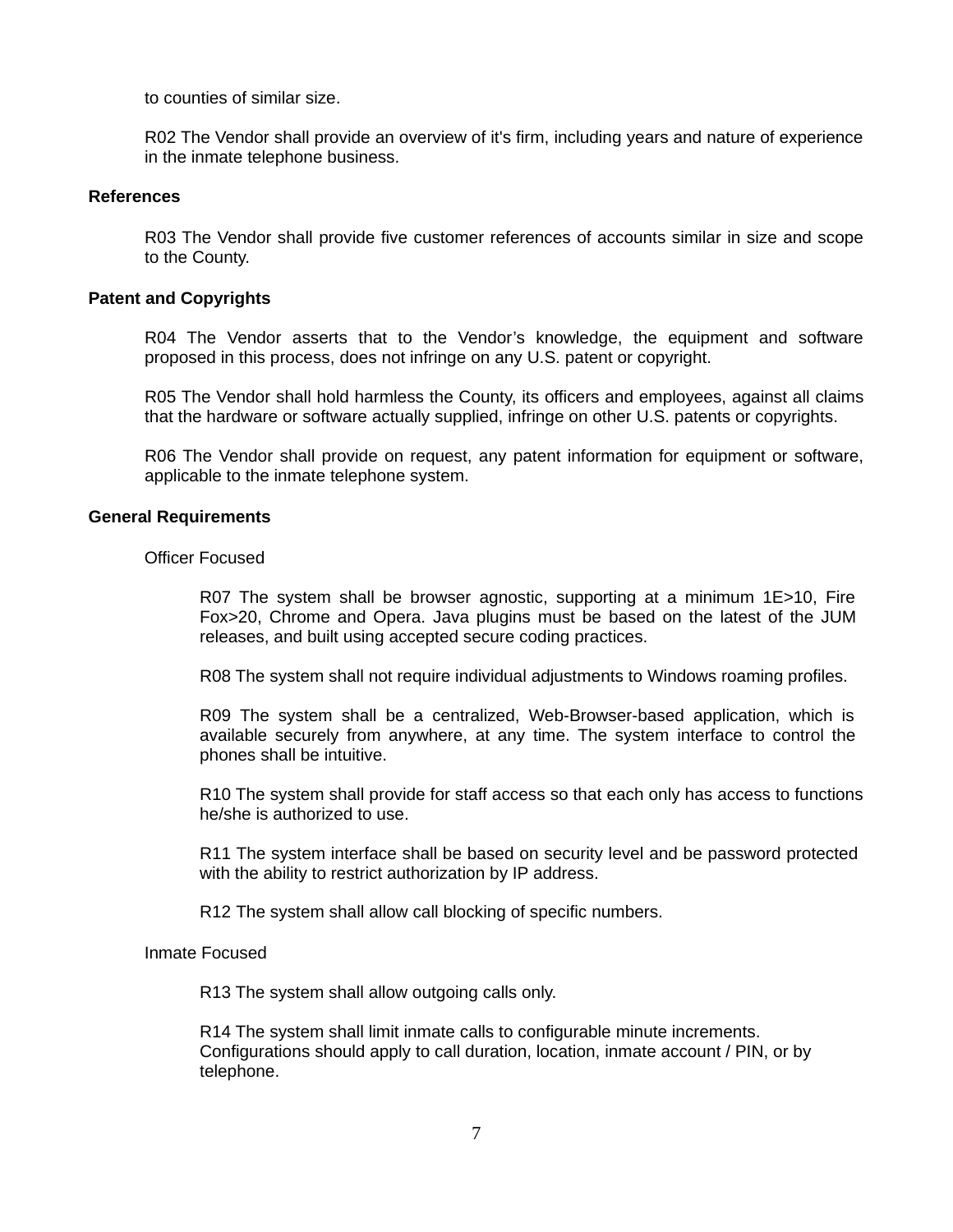to counties of similar size.

R02 The Vendor shall provide an overview of it's firm, including years and nature of experience in the inmate telephone business.

### **References**

R03 The Vendor shall provide five customer references of accounts similar in size and scope to the County.

### **Patent and Copyrights**

R04 The Vendor asserts that to the Vendor's knowledge, the equipment and software proposed in this process, does not infringe on any U.S. patent or copyright.

R05 The Vendor shall hold harmless the County, its officers and employees, against all claims that the hardware or software actually supplied, infringe on other U.S. patents or copyrights.

R06 The Vendor shall provide on request, any patent information for equipment or software, applicable to the inmate telephone system.

## **General Requirements**

Officer Focused

R07 The system shall be browser agnostic, supporting at a minimum 1E>10, Fire Fox>20, Chrome and Opera. Java plugins must be based on the latest of the JUM releases, and built using accepted secure coding practices.

R08 The system shall not require individual adjustments to Windows roaming profiles.

R09 The system shall be a centralized, Web-Browser-based application, which is available securely from anywhere, at any time. The system interface to control the phones shall be intuitive.

R10 The system shall provide for staff access so that each only has access to functions he/she is authorized to use.

R11 The system interface shall be based on security level and be password protected with the ability to restrict authorization by IP address.

R12 The system shall allow call blocking of specific numbers.

Inmate Focused

R13 The system shall allow outgoing calls only.

R14 The system shall limit inmate calls to configurable minute increments. Configurations should apply to call duration, location, inmate account / PIN, or by telephone.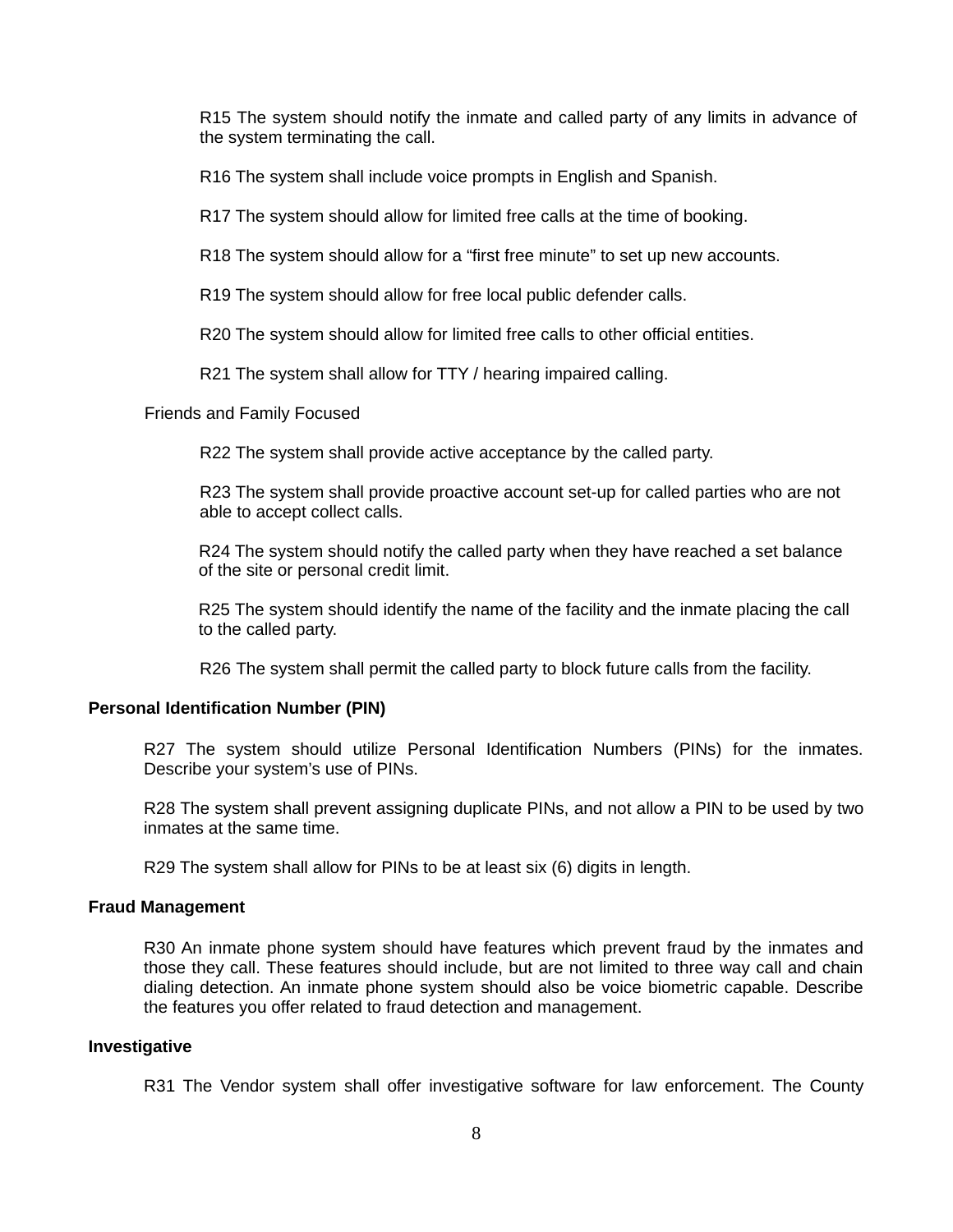R15 The system should notify the inmate and called party of any limits in advance of the system terminating the call.

R16 The system shall include voice prompts in English and Spanish.

R17 The system should allow for limited free calls at the time of booking.

R18 The system should allow for a "first free minute" to set up new accounts.

R19 The system should allow for free local public defender calls.

R20 The system should allow for limited free calls to other official entities.

R21 The system shall allow for TTY / hearing impaired calling.

Friends and Family Focused

R22 The system shall provide active acceptance by the called party.

R23 The system shall provide proactive account set-up for called parties who are not able to accept collect calls.

R24 The system should notify the called party when they have reached a set balance of the site or personal credit limit.

R25 The system should identify the name of the facility and the inmate placing the call to the called party.

R26 The system shall permit the called party to block future calls from the facility.

#### **Personal Identification Number (PIN)**

R27 The system should utilize Personal Identification Numbers (PINs) for the inmates. Describe your system's use of PINs.

R28 The system shall prevent assigning duplicate PINs, and not allow a PIN to be used by two inmates at the same time.

R29 The system shall allow for PINs to be at least six (6) digits in length.

#### **Fraud Management**

R30 An inmate phone system should have features which prevent fraud by the inmates and those they call. These features should include, but are not limited to three way call and chain dialing detection. An inmate phone system should also be voice biometric capable. Describe the features you offer related to fraud detection and management.

#### **Investigative**

R31 The Vendor system shall offer investigative software for law enforcement. The County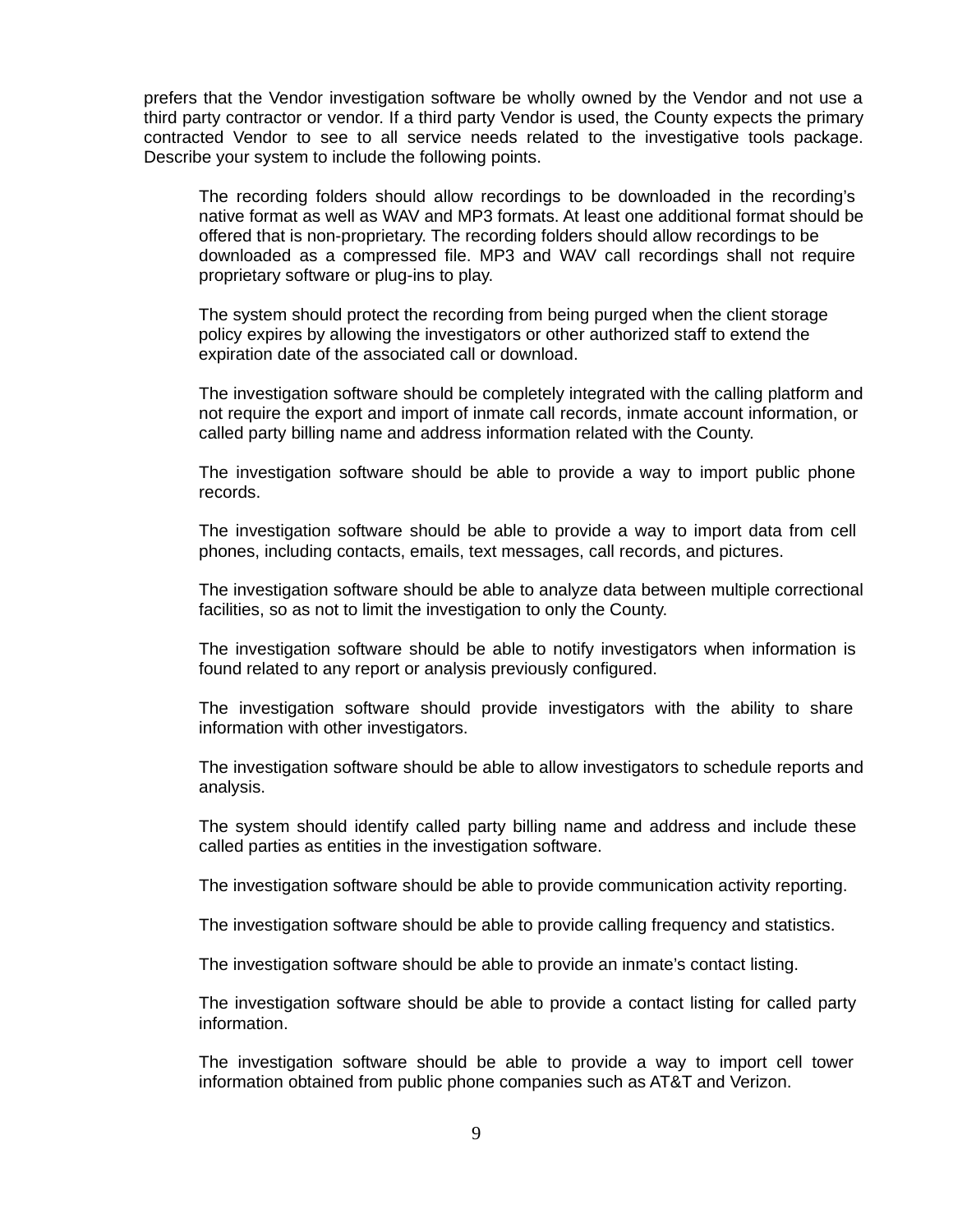prefers that the Vendor investigation software be wholly owned by the Vendor and not use a third party contractor or vendor. If a third party Vendor is used, the County expects the primary contracted Vendor to see to all service needs related to the investigative tools package. Describe your system to include the following points.

The recording folders should allow recordings to be downloaded in the recording's native format as well as WAV and MP3 formats. At least one additional format should be offered that is non-proprietary. The recording folders should allow recordings to be downloaded as a compressed file. MP3 and WAV call recordings shall not require proprietary software or plug-ins to play.

The system should protect the recording from being purged when the client storage policy expires by allowing the investigators or other authorized staff to extend the expiration date of the associated call or download.

The investigation software should be completely integrated with the calling platform and not require the export and import of inmate call records, inmate account information, or called party billing name and address information related with the County.

The investigation software should be able to provide a way to import public phone records.

The investigation software should be able to provide a way to import data from cell phones, including contacts, emails, text messages, call records, and pictures.

The investigation software should be able to analyze data between multiple correctional facilities, so as not to limit the investigation to only the County.

The investigation software should be able to notify investigators when information is found related to any report or analysis previously configured.

The investigation software should provide investigators with the ability to share information with other investigators.

The investigation software should be able to allow investigators to schedule reports and analysis.

The system should identify called party billing name and address and include these called parties as entities in the investigation software.

The investigation software should be able to provide communication activity reporting.

The investigation software should be able to provide calling frequency and statistics.

The investigation software should be able to provide an inmate's contact listing.

The investigation software should be able to provide a contact listing for called party information.

The investigation software should be able to provide a way to import cell tower information obtained from public phone companies such as AT&T and Verizon.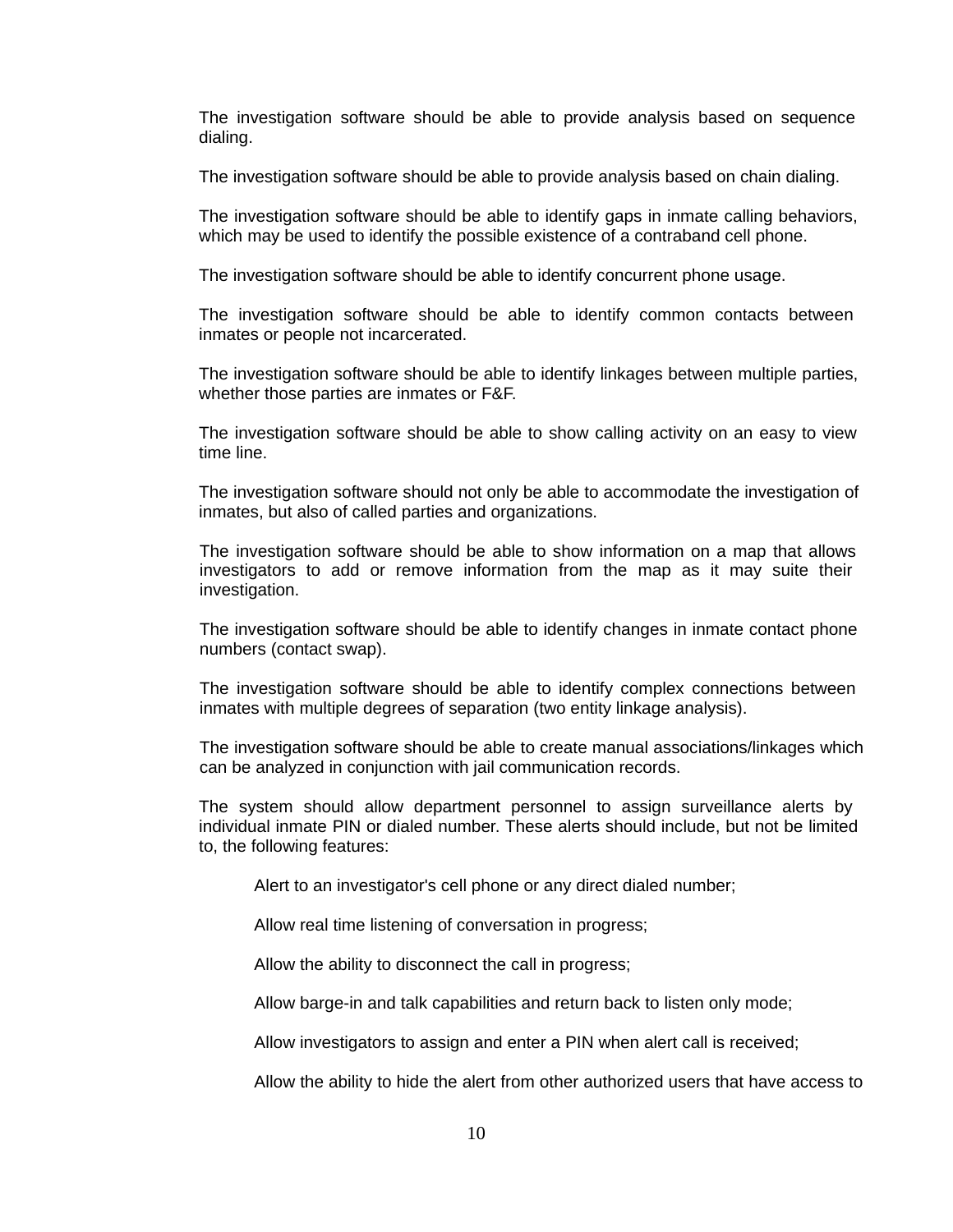The investigation software should be able to provide analysis based on sequence dialing.

The investigation software should be able to provide analysis based on chain dialing.

The investigation software should be able to identify gaps in inmate calling behaviors, which may be used to identify the possible existence of a contraband cell phone.

The investigation software should be able to identify concurrent phone usage.

The investigation software should be able to identify common contacts between inmates or people not incarcerated.

The investigation software should be able to identify linkages between multiple parties, whether those parties are inmates or F&F.

The investigation software should be able to show calling activity on an easy to view time line.

The investigation software should not only be able to accommodate the investigation of inmates, but also of called parties and organizations.

The investigation software should be able to show information on a map that allows investigators to add or remove information from the map as it may suite their investigation.

The investigation software should be able to identify changes in inmate contact phone numbers (contact swap).

The investigation software should be able to identify complex connections between inmates with multiple degrees of separation (two entity linkage analysis).

The investigation software should be able to create manual associations/linkages which can be analyzed in conjunction with jail communication records.

The system should allow department personnel to assign surveillance alerts by individual inmate PIN or dialed number. These alerts should include, but not be limited to, the following features:

Alert to an investigator's cell phone or any direct dialed number;

Allow real time listening of conversation in progress;

Allow the ability to disconnect the call in progress;

Allow barge-in and talk capabilities and return back to listen only mode;

Allow investigators to assign and enter a PIN when alert call is received;

Allow the ability to hide the alert from other authorized users that have access to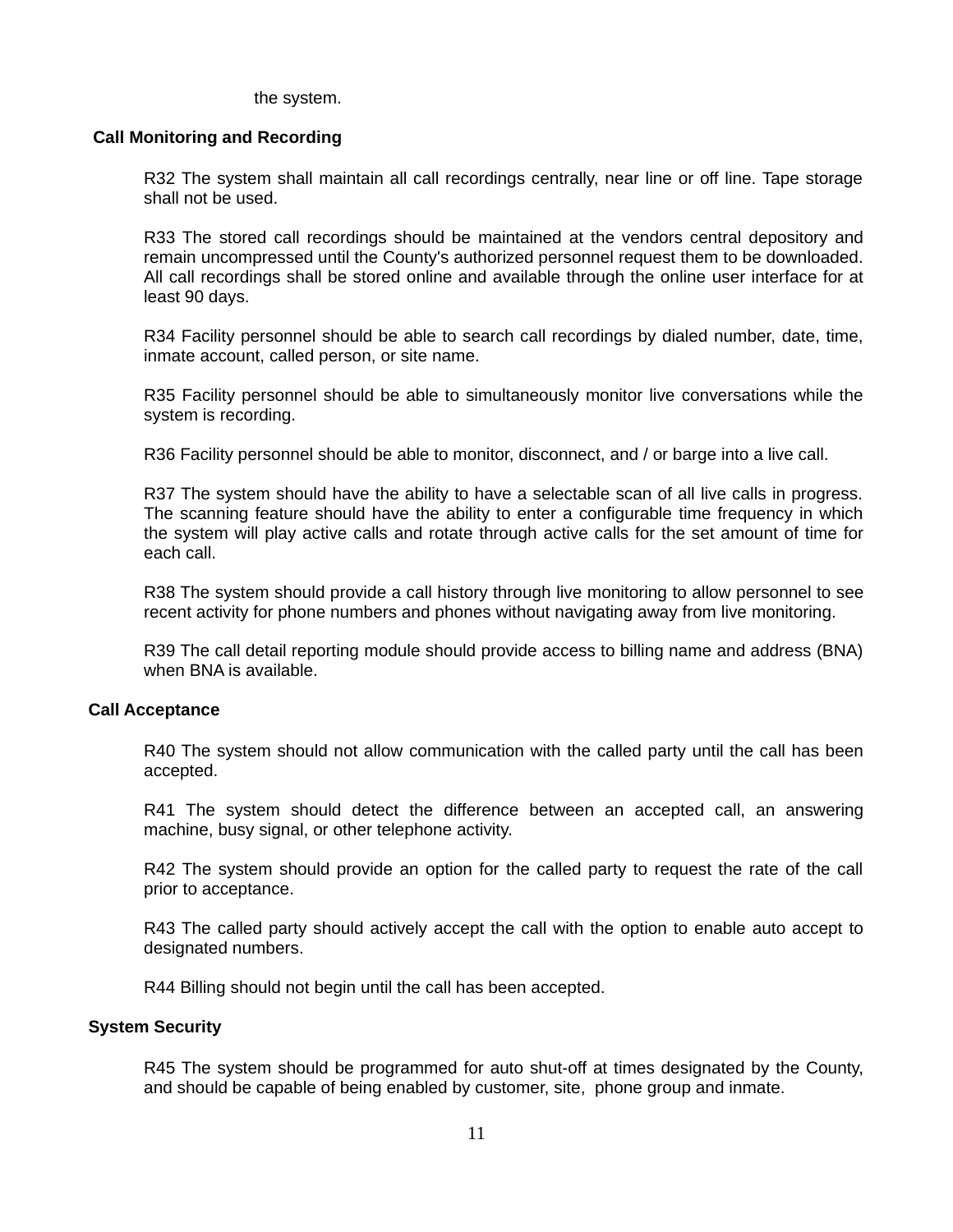the system.

### **Call Monitoring and Recording**

R32 The system shall maintain all call recordings centrally, near line or off line. Tape storage shall not be used.

R33 The stored call recordings should be maintained at the vendors central depository and remain uncompressed until the County's authorized personnel request them to be downloaded. All call recordings shall be stored online and available through the online user interface for at least 90 days.

R34 Facility personnel should be able to search call recordings by dialed number, date, time, inmate account, called person, or site name.

R35 Facility personnel should be able to simultaneously monitor live conversations while the system is recording.

R36 Facility personnel should be able to monitor, disconnect, and / or barge into a live call.

R37 The system should have the ability to have a selectable scan of all live calls in progress. The scanning feature should have the ability to enter a configurable time frequency in which the system will play active calls and rotate through active calls for the set amount of time for each call.

R38 The system should provide a call history through live monitoring to allow personnel to see recent activity for phone numbers and phones without navigating away from live monitoring.

R39 The call detail reporting module should provide access to billing name and address (BNA) when BNA is available.

#### **Call Acceptance**

R40 The system should not allow communication with the called party until the call has been accepted.

R41 The system should detect the difference between an accepted call, an answering machine, busy signal, or other telephone activity.

R42 The system should provide an option for the called party to request the rate of the call prior to acceptance.

R43 The called party should actively accept the call with the option to enable auto accept to designated numbers.

R44 Billing should not begin until the call has been accepted.

#### **System Security**

R45 The system should be programmed for auto shut-off at times designated by the County, and should be capable of being enabled by customer, site, phone group and inmate.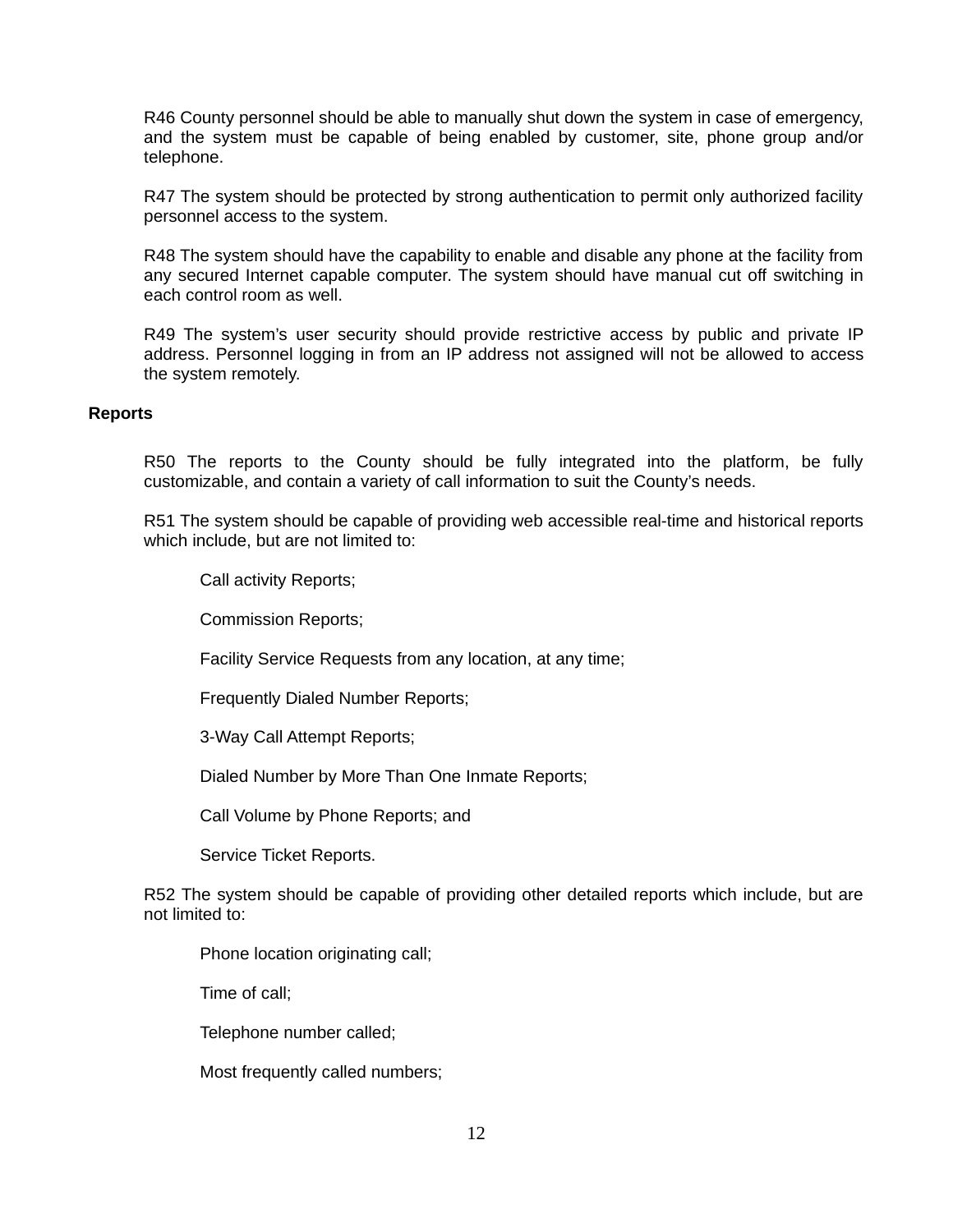R46 County personnel should be able to manually shut down the system in case of emergency, and the system must be capable of being enabled by customer, site, phone group and/or telephone.

R47 The system should be protected by strong authentication to permit only authorized facility personnel access to the system.

R48 The system should have the capability to enable and disable any phone at the facility from any secured Internet capable computer. The system should have manual cut off switching in each control room as well.

R49 The system's user security should provide restrictive access by public and private IP address. Personnel logging in from an IP address not assigned will not be allowed to access the system remotely.

#### **Reports**

R50 The reports to the County should be fully integrated into the platform, be fully customizable, and contain a variety of call information to suit the County's needs.

R51 The system should be capable of providing web accessible real-time and historical reports which include, but are not limited to:

Call activity Reports;

Commission Reports;

Facility Service Requests from any location, at any time;

Frequently Dialed Number Reports;

3-Way Call Attempt Reports;

Dialed Number by More Than One Inmate Reports;

Call Volume by Phone Reports; and

Service Ticket Reports.

R52 The system should be capable of providing other detailed reports which include, but are not limited to:

Phone location originating call;

Time of call;

Telephone number called;

Most frequently called numbers;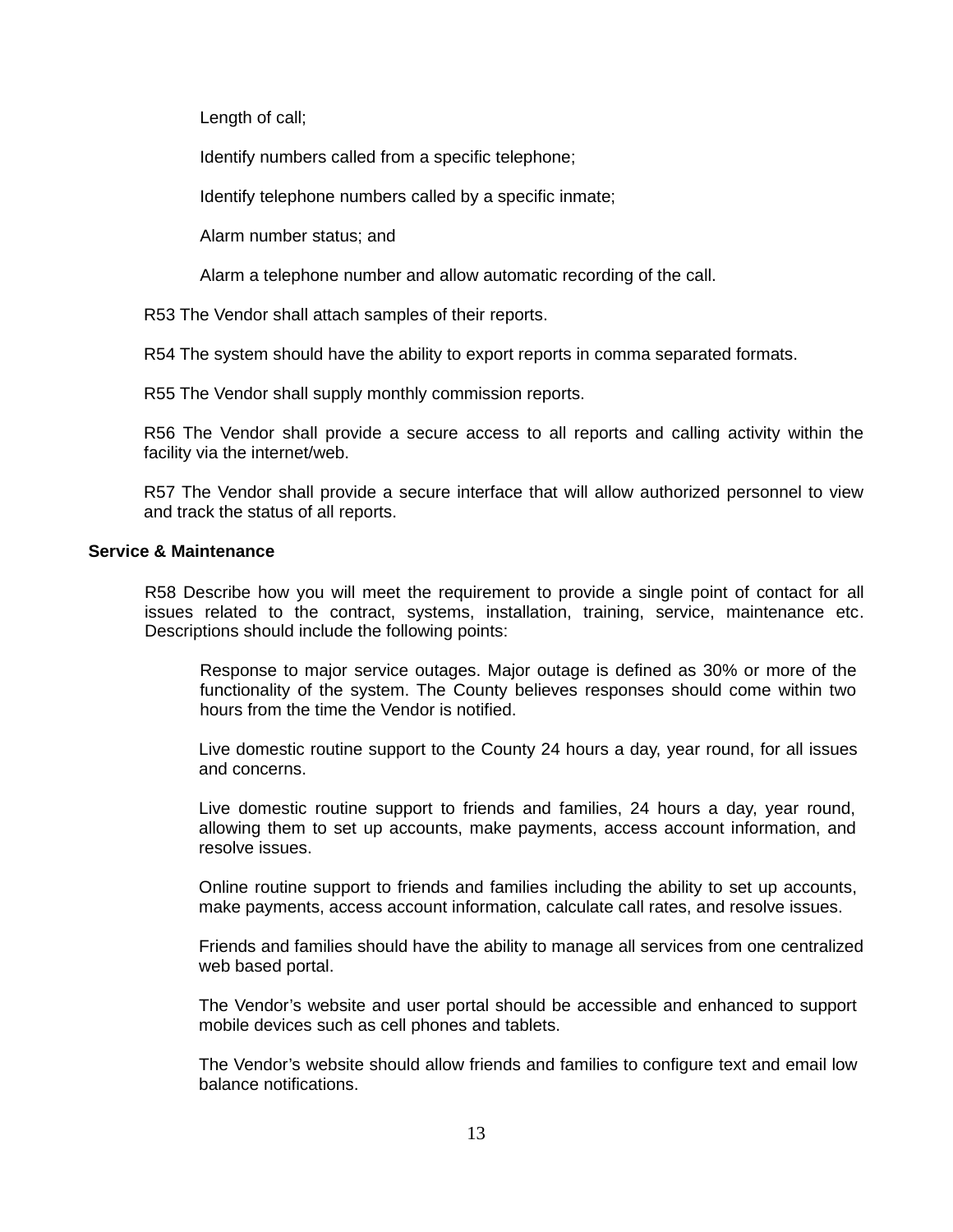Length of call;

Identify numbers called from a specific telephone;

Identify telephone numbers called by a specific inmate;

Alarm number status; and

Alarm a telephone number and allow automatic recording of the call.

R53 The Vendor shall attach samples of their reports.

R54 The system should have the ability to export reports in comma separated formats.

R55 The Vendor shall supply monthly commission reports.

R56 The Vendor shall provide a secure access to all reports and calling activity within the facility via the internet/web.

R57 The Vendor shall provide a secure interface that will allow authorized personnel to view and track the status of all reports.

#### **Service & Maintenance**

R58 Describe how you will meet the requirement to provide a single point of contact for all issues related to the contract, systems, installation, training, service, maintenance etc. Descriptions should include the following points:

Response to major service outages. Major outage is defined as 30% or more of the functionality of the system. The County believes responses should come within two hours from the time the Vendor is notified.

Live domestic routine support to the County 24 hours a day, year round, for all issues and concerns.

Live domestic routine support to friends and families, 24 hours a day, year round, allowing them to set up accounts, make payments, access account information, and resolve issues.

Online routine support to friends and families including the ability to set up accounts, make payments, access account information, calculate call rates, and resolve issues.

Friends and families should have the ability to manage all services from one centralized web based portal.

The Vendor's website and user portal should be accessible and enhanced to support mobile devices such as cell phones and tablets.

The Vendor's website should allow friends and families to configure text and email low balance notifications.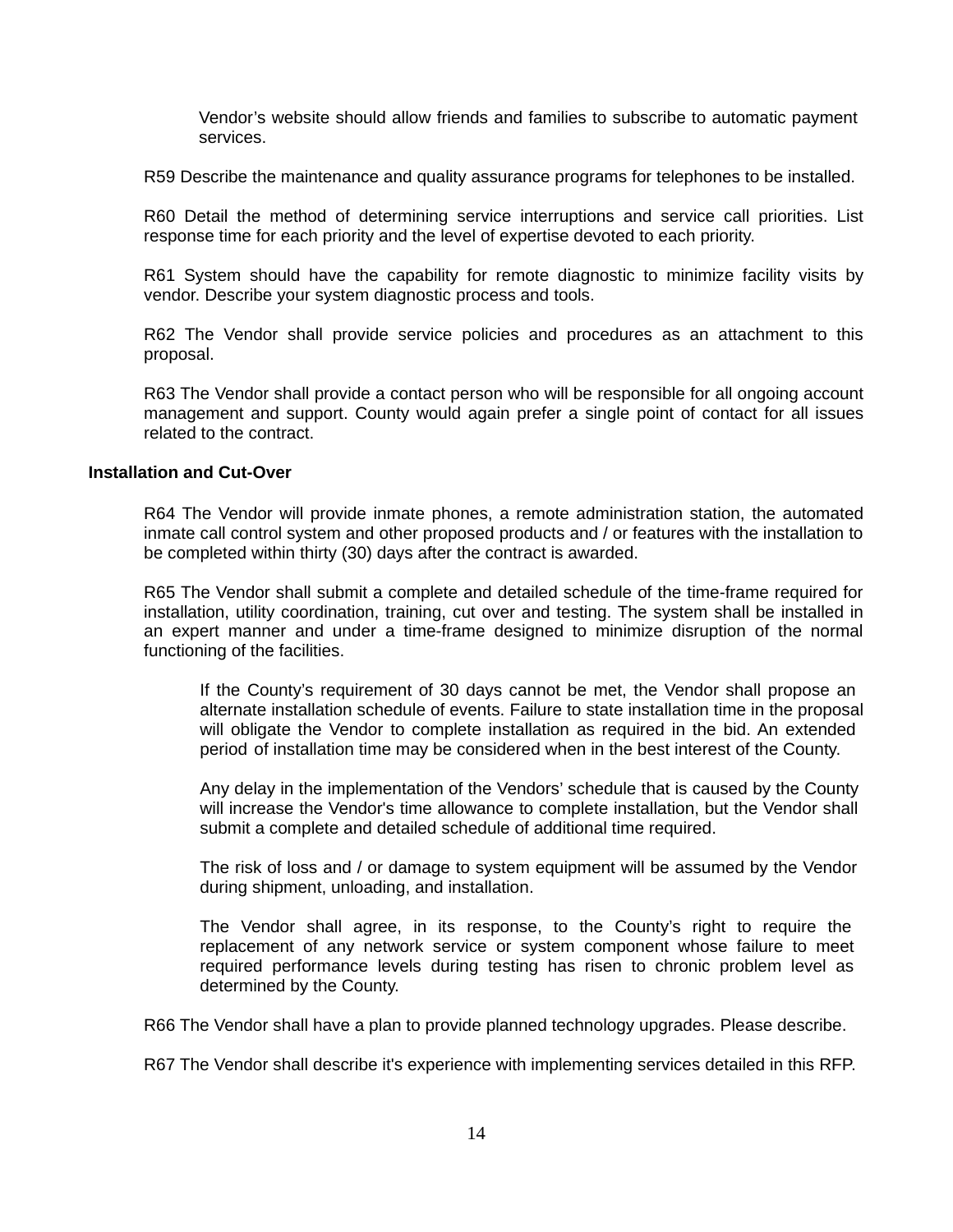Vendor's website should allow friends and families to subscribe to automatic payment services.

R59 Describe the maintenance and quality assurance programs for telephones to be installed.

R60 Detail the method of determining service interruptions and service call priorities. List response time for each priority and the level of expertise devoted to each priority.

R61 System should have the capability for remote diagnostic to minimize facility visits by vendor. Describe your system diagnostic process and tools.

R62 The Vendor shall provide service policies and procedures as an attachment to this proposal.

R63 The Vendor shall provide a contact person who will be responsible for all ongoing account management and support. County would again prefer a single point of contact for all issues related to the contract.

#### **Installation and Cut-Over**

R64 The Vendor will provide inmate phones, a remote administration station, the automated inmate call control system and other proposed products and / or features with the installation to be completed within thirty (30) days after the contract is awarded.

R65 The Vendor shall submit a complete and detailed schedule of the time-frame required for installation, utility coordination, training, cut over and testing. The system shall be installed in an expert manner and under a time-frame designed to minimize disruption of the normal functioning of the facilities.

If the County's requirement of 30 days cannot be met, the Vendor shall propose an alternate installation schedule of events. Failure to state installation time in the proposal will obligate the Vendor to complete installation as required in the bid. An extended period of installation time may be considered when in the best interest of the County.

Any delay in the implementation of the Vendors' schedule that is caused by the County will increase the Vendor's time allowance to complete installation, but the Vendor shall submit a complete and detailed schedule of additional time required.

The risk of loss and / or damage to system equipment will be assumed by the Vendor during shipment, unloading, and installation.

The Vendor shall agree, in its response, to the County's right to require the replacement of any network service or system component whose failure to meet required performance levels during testing has risen to chronic problem level as determined by the County.

R66 The Vendor shall have a plan to provide planned technology upgrades. Please describe.

R67 The Vendor shall describe it's experience with implementing services detailed in this RFP.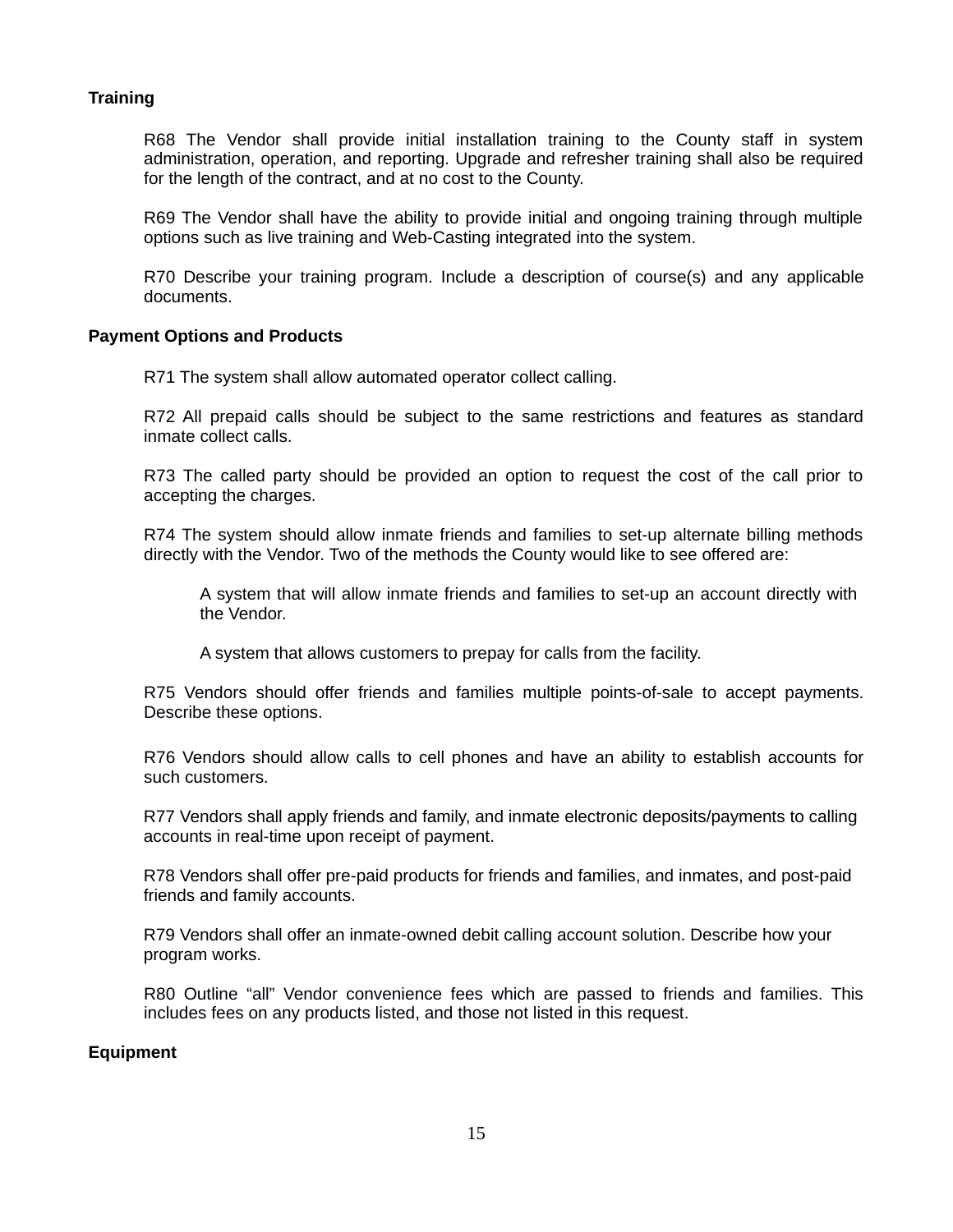# **Training**

R68 The Vendor shall provide initial installation training to the County staff in system administration, operation, and reporting. Upgrade and refresher training shall also be required for the length of the contract, and at no cost to the County.

R69 The Vendor shall have the ability to provide initial and ongoing training through multiple options such as live training and Web-Casting integrated into the system.

R70 Describe your training program. Include a description of course(s) and any applicable documents.

#### **Payment Options and Products**

R71 The system shall allow automated operator collect calling.

R72 All prepaid calls should be subject to the same restrictions and features as standard inmate collect calls.

R73 The called party should be provided an option to request the cost of the call prior to accepting the charges.

R74 The system should allow inmate friends and families to set-up alternate billing methods directly with the Vendor. Two of the methods the County would like to see offered are:

A system that will allow inmate friends and families to set-up an account directly with the Vendor.

A system that allows customers to prepay for calls from the facility.

R75 Vendors should offer friends and families multiple points-of-sale to accept payments. Describe these options.

R76 Vendors should allow calls to cell phones and have an ability to establish accounts for such customers.

R77 Vendors shall apply friends and family, and inmate electronic deposits/payments to calling accounts in real-time upon receipt of payment.

R78 Vendors shall offer pre-paid products for friends and families, and inmates, and post-paid friends and family accounts.

R79 Vendors shall offer an inmate-owned debit calling account solution. Describe how your program works.

R80 Outline "all" Vendor convenience fees which are passed to friends and families. This includes fees on any products listed, and those not listed in this request.

# **Equipment**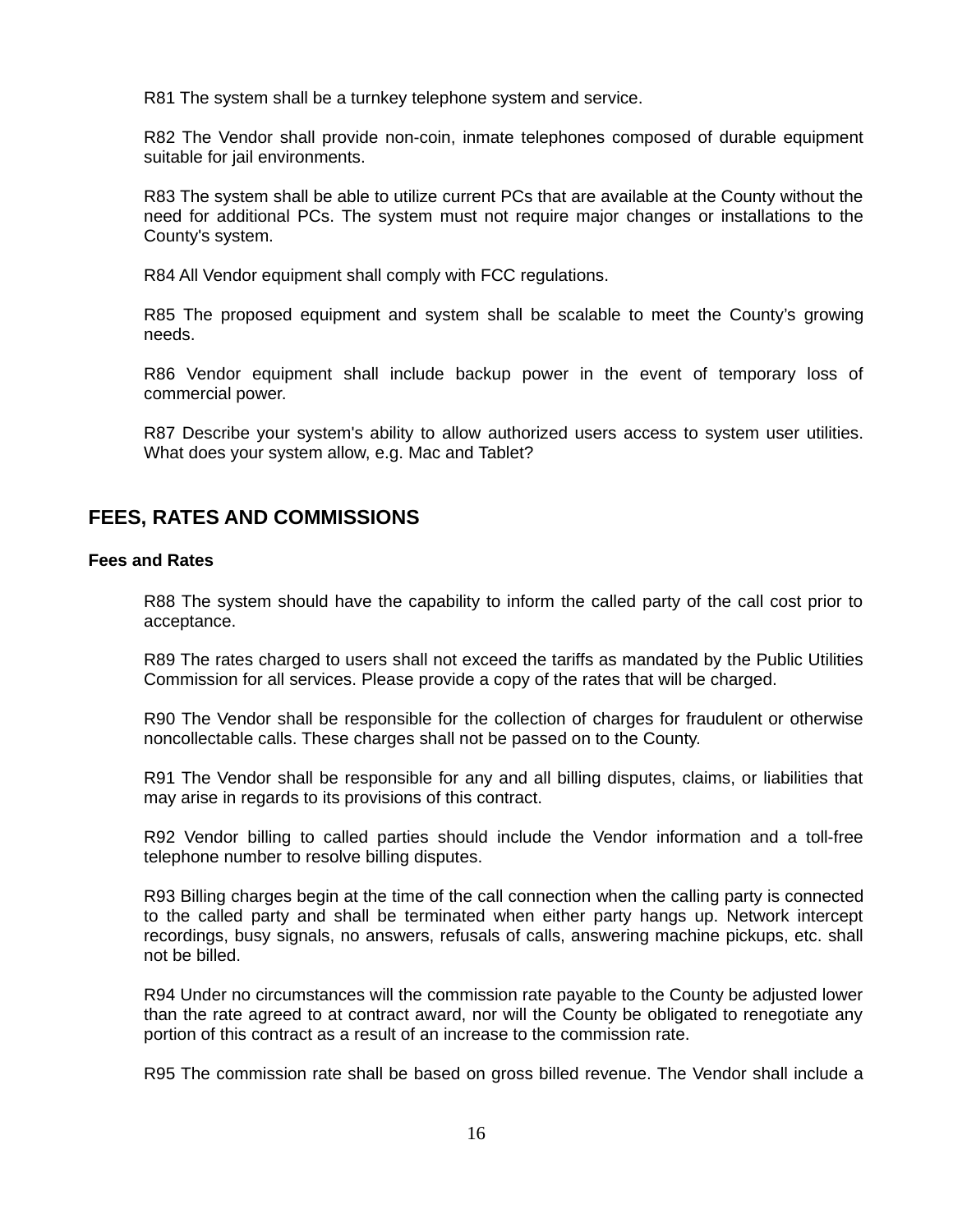R81 The system shall be a turnkey telephone system and service.

R82 The Vendor shall provide non-coin, inmate telephones composed of durable equipment suitable for jail environments.

R83 The system shall be able to utilize current PCs that are available at the County without the need for additional PCs. The system must not require major changes or installations to the County's system.

R84 All Vendor equipment shall comply with FCC regulations.

R85 The proposed equipment and system shall be scalable to meet the County's growing needs.

R86 Vendor equipment shall include backup power in the event of temporary loss of commercial power.

R87 Describe your system's ability to allow authorized users access to system user utilities. What does your system allow, e.g. Mac and Tablet?

# **FEES, RATES AND COMMISSIONS**

#### **Fees and Rates**

R88 The system should have the capability to inform the called party of the call cost prior to acceptance.

R89 The rates charged to users shall not exceed the tariffs as mandated by the Public Utilities Commission for all services. Please provide a copy of the rates that will be charged.

R90 The Vendor shall be responsible for the collection of charges for fraudulent or otherwise noncollectable calls. These charges shall not be passed on to the County.

R91 The Vendor shall be responsible for any and all billing disputes, claims, or liabilities that may arise in regards to its provisions of this contract.

R92 Vendor billing to called parties should include the Vendor information and a toll-free telephone number to resolve billing disputes.

R93 Billing charges begin at the time of the call connection when the calling party is connected to the called party and shall be terminated when either party hangs up. Network intercept recordings, busy signals, no answers, refusals of calls, answering machine pickups, etc. shall not be billed.

R94 Under no circumstances will the commission rate payable to the County be adjusted lower than the rate agreed to at contract award, nor will the County be obligated to renegotiate any portion of this contract as a result of an increase to the commission rate.

R95 The commission rate shall be based on gross billed revenue. The Vendor shall include a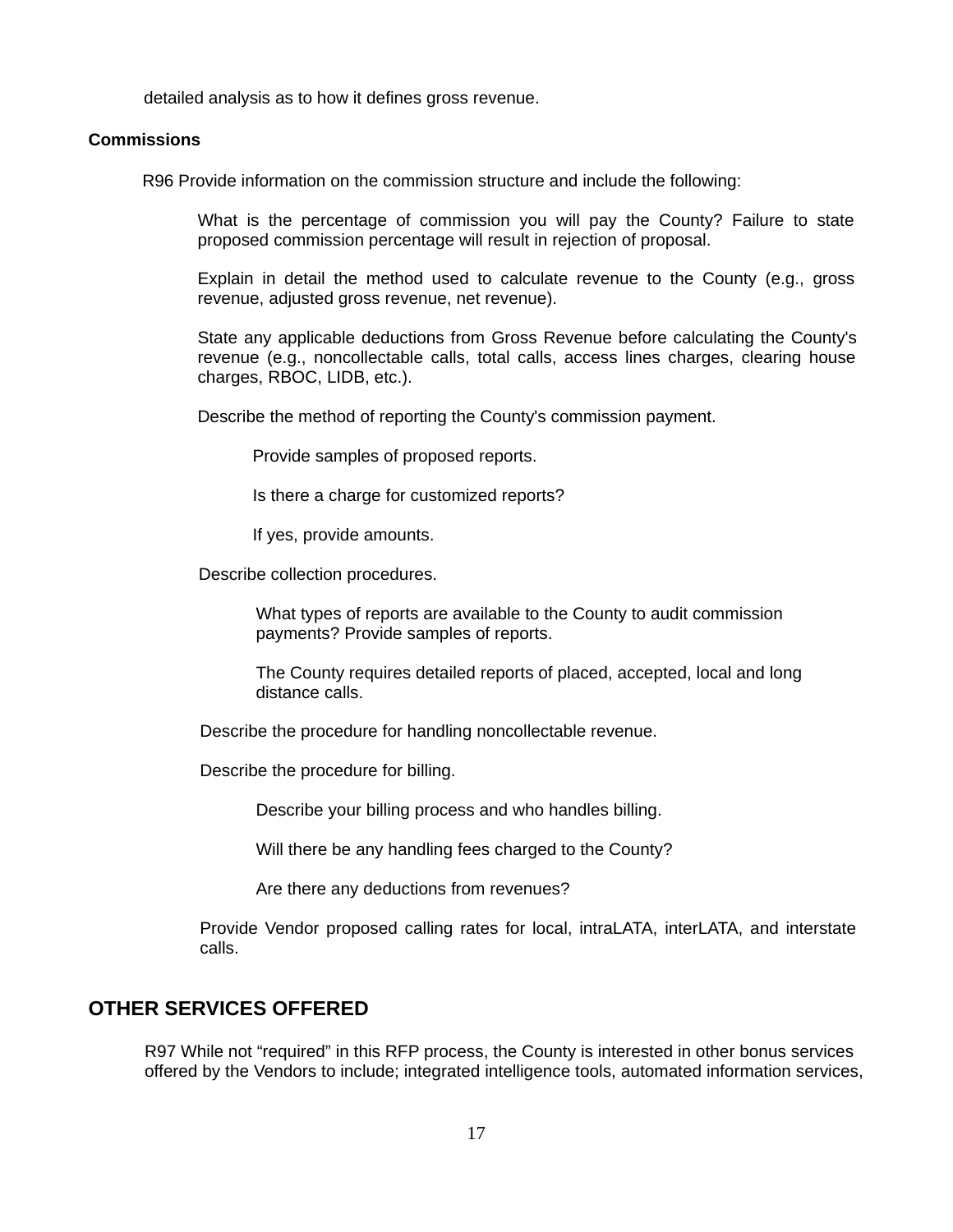detailed analysis as to how it defines gross revenue.

#### **Commissions**

R96 Provide information on the commission structure and include the following:

What is the percentage of commission you will pay the County? Failure to state proposed commission percentage will result in rejection of proposal.

Explain in detail the method used to calculate revenue to the County (e.g., gross revenue, adjusted gross revenue, net revenue).

State any applicable deductions from Gross Revenue before calculating the County's revenue (e.g., noncollectable calls, total calls, access lines charges, clearing house charges, RBOC, LIDB, etc.).

Describe the method of reporting the County's commission payment.

Provide samples of proposed reports.

Is there a charge for customized reports?

If yes, provide amounts.

Describe collection procedures.

What types of reports are available to the County to audit commission payments? Provide samples of reports.

The County requires detailed reports of placed, accepted, local and long distance calls.

Describe the procedure for handling noncollectable revenue.

Describe the procedure for billing.

Describe your billing process and who handles billing.

Will there be any handling fees charged to the County?

Are there any deductions from revenues?

Provide Vendor proposed calling rates for local, intraLATA, interLATA, and interstate calls.

# **OTHER SERVICES OFFERED**

R97 While not "required" in this RFP process, the County is interested in other bonus services offered by the Vendors to include; integrated intelligence tools, automated information services,